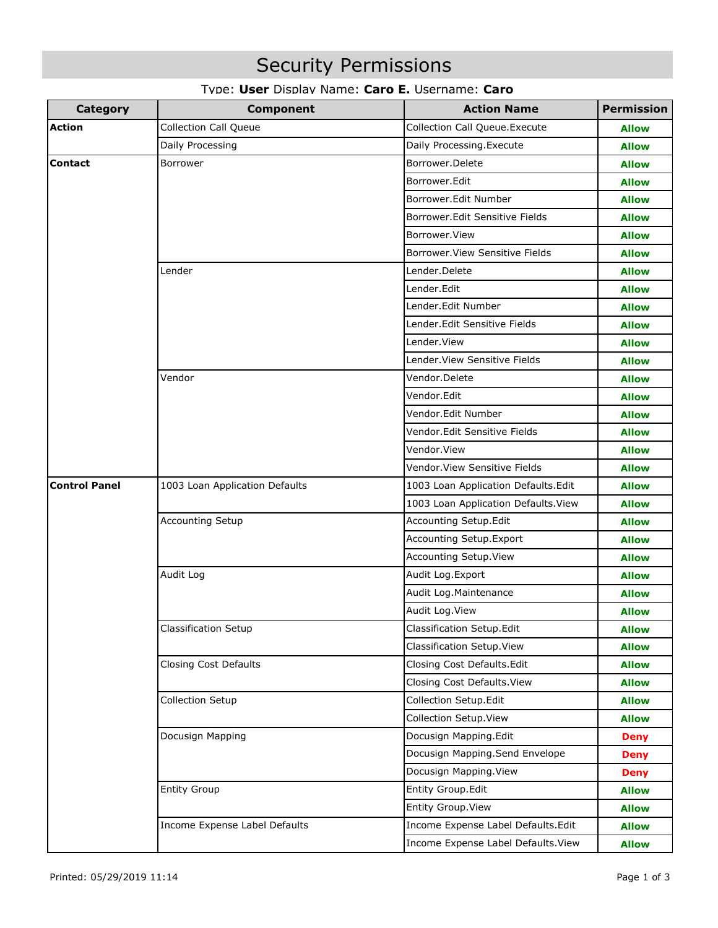# Security Permissions

| Type: User Display Name: Caro E. Username: Caro |  |
|-------------------------------------------------|--|
|-------------------------------------------------|--|

| <b>Category</b>      | <b>Component</b>               | <b>Action Name</b>                   | <b>Permission</b> |
|----------------------|--------------------------------|--------------------------------------|-------------------|
| <b>Action</b>        | <b>Collection Call Queue</b>   | <b>Collection Call Queue.Execute</b> | <b>Allow</b>      |
|                      | Daily Processing               | Daily Processing. Execute            | <b>Allow</b>      |
| <b>Contact</b>       | Borrower                       | Borrower.Delete                      | <b>Allow</b>      |
|                      |                                | Borrower.Edit                        | <b>Allow</b>      |
|                      |                                | Borrower.Edit Number                 | <b>Allow</b>      |
|                      |                                | Borrower.Edit Sensitive Fields       | <b>Allow</b>      |
|                      |                                | Borrower.View                        | <b>Allow</b>      |
|                      |                                | Borrower. View Sensitive Fields      | <b>Allow</b>      |
|                      | Lender                         | Lender.Delete                        | <b>Allow</b>      |
|                      |                                | Lender.Edit                          | <b>Allow</b>      |
|                      |                                | Lender.Edit Number                   | <b>Allow</b>      |
|                      |                                | Lender.Edit Sensitive Fields         | <b>Allow</b>      |
|                      |                                | Lender.View                          | <b>Allow</b>      |
|                      |                                | Lender. View Sensitive Fields        | <b>Allow</b>      |
|                      | Vendor                         | Vendor.Delete                        | <b>Allow</b>      |
|                      |                                | Vendor.Edit                          | <b>Allow</b>      |
|                      |                                | Vendor.Edit Number                   | <b>Allow</b>      |
|                      |                                | Vendor.Edit Sensitive Fields         | <b>Allow</b>      |
|                      |                                | Vendor.View                          | <b>Allow</b>      |
|                      |                                | Vendor View Sensitive Fields         | <b>Allow</b>      |
| <b>Control Panel</b> | 1003 Loan Application Defaults | 1003 Loan Application Defaults.Edit  | <b>Allow</b>      |
|                      |                                | 1003 Loan Application Defaults. View | <b>Allow</b>      |
|                      | <b>Accounting Setup</b>        | Accounting Setup Edit                | <b>Allow</b>      |
|                      |                                | Accounting Setup Export              | <b>Allow</b>      |
|                      |                                | Accounting Setup. View               | <b>Allow</b>      |
|                      | Audit Log                      | Audit Log. Export                    | <b>Allow</b>      |
|                      |                                | Audit Log. Maintenance               | <b>Allow</b>      |
|                      |                                | Audit Log. View                      | <b>Allow</b>      |
|                      | <b>Classification Setup</b>    | Classification Setup.Edit            | <b>Allow</b>      |
|                      |                                | Classification Setup. View           | <b>Allow</b>      |
|                      | <b>Closing Cost Defaults</b>   | Closing Cost Defaults.Edit           | <b>Allow</b>      |
|                      |                                | Closing Cost Defaults. View          | <b>Allow</b>      |
|                      | <b>Collection Setup</b>        | Collection Setup.Edit                | <b>Allow</b>      |
|                      |                                | Collection Setup. View               | <b>Allow</b>      |
|                      | Docusign Mapping               | Docusign Mapping.Edit                | <b>Deny</b>       |
|                      |                                | Docusign Mapping.Send Envelope       | <b>Deny</b>       |
|                      |                                | Docusign Mapping. View               | <b>Deny</b>       |
|                      | <b>Entity Group</b>            | Entity Group.Edit                    | <b>Allow</b>      |
|                      |                                | Entity Group. View                   | <b>Allow</b>      |
|                      | Income Expense Label Defaults  | Income Expense Label Defaults.Edit   | <b>Allow</b>      |
|                      |                                | Income Expense Label Defaults. View  | <b>Allow</b>      |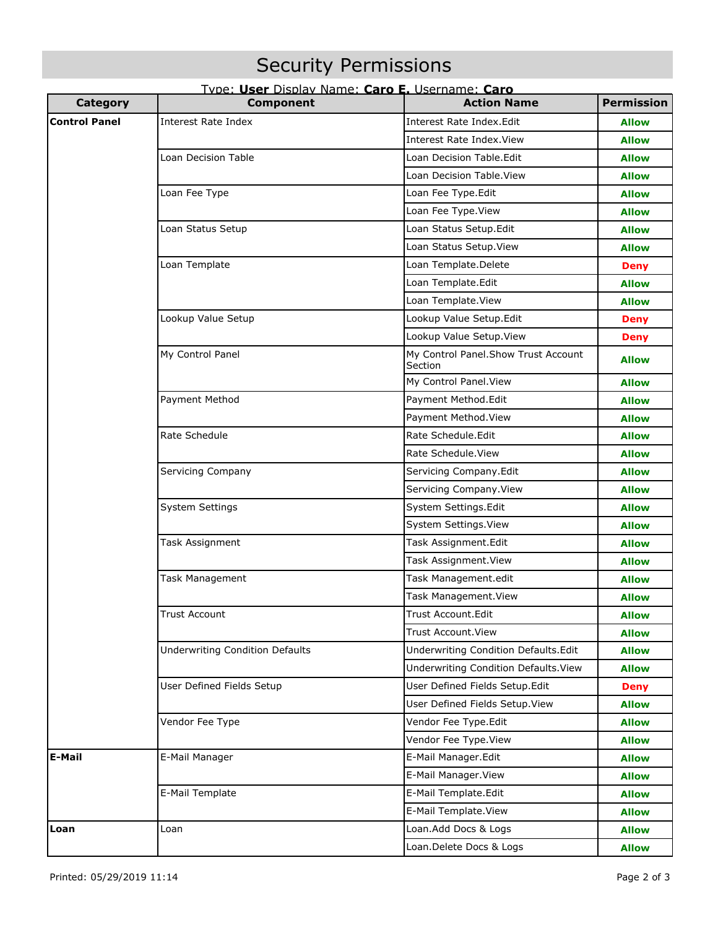# Security Permissions

## Type: **User** Display Name: **Caro E.** Username: **Caro**

| <b>Category</b>      | <b>Component</b>                       | <b>Action Name</b>                              | <b>Permission</b> |
|----------------------|----------------------------------------|-------------------------------------------------|-------------------|
| <b>Control Panel</b> | <b>Interest Rate Index</b>             | Interest Rate Index.Edit                        | <b>Allow</b>      |
|                      |                                        | <b>Interest Rate Index. View</b>                | <b>Allow</b>      |
|                      | Loan Decision Table                    | Loan Decision Table.Edit                        | <b>Allow</b>      |
|                      |                                        | Loan Decision Table. View                       | <b>Allow</b>      |
|                      | Loan Fee Type                          | Loan Fee Type.Edit                              | <b>Allow</b>      |
|                      |                                        | Loan Fee Type.View                              | <b>Allow</b>      |
|                      | Loan Status Setup                      | Loan Status Setup.Edit                          | <b>Allow</b>      |
|                      |                                        | Loan Status Setup. View                         | <b>Allow</b>      |
|                      | Loan Template                          | Loan Template.Delete                            | <b>Deny</b>       |
|                      |                                        | Loan Template.Edit                              | <b>Allow</b>      |
|                      |                                        | Loan Template.View                              | <b>Allow</b>      |
|                      | Lookup Value Setup                     | Lookup Value Setup.Edit                         | <b>Deny</b>       |
|                      |                                        | Lookup Value Setup. View                        | <b>Deny</b>       |
|                      | My Control Panel                       | My Control Panel. Show Trust Account<br>Section | <b>Allow</b>      |
|                      |                                        | My Control Panel. View                          | <b>Allow</b>      |
|                      | Payment Method                         | Payment Method.Edit                             | <b>Allow</b>      |
|                      |                                        | Payment Method. View                            | <b>Allow</b>      |
|                      | Rate Schedule                          | Rate Schedule.Edit                              | <b>Allow</b>      |
|                      |                                        | Rate Schedule. View                             | <b>Allow</b>      |
|                      | Servicing Company                      | Servicing Company.Edit                          | <b>Allow</b>      |
|                      |                                        | Servicing Company. View                         | <b>Allow</b>      |
|                      | <b>System Settings</b>                 | System Settings.Edit                            | Allow             |
|                      |                                        | System Settings. View                           | <b>Allow</b>      |
|                      | Task Assignment                        | Task Assignment.Edit                            | <b>Allow</b>      |
|                      |                                        | Task Assignment. View                           | <b>Allow</b>      |
|                      | Task Management                        | Task Management.edit                            | <b>Allow</b>      |
|                      |                                        | Task Management. View                           | <b>Allow</b>      |
|                      | <b>Trust Account</b>                   | <b>Trust Account Edit</b>                       | Allow             |
|                      |                                        | Trust Account. View                             | <b>Allow</b>      |
|                      | <b>Underwriting Condition Defaults</b> | Underwriting Condition Defaults.Edit            | <b>Allow</b>      |
|                      |                                        | Underwriting Condition Defaults. View           | <b>Allow</b>      |
|                      | User Defined Fields Setup              | User Defined Fields Setup.Edit                  | <b>Deny</b>       |
|                      |                                        | User Defined Fields Setup. View                 | <b>Allow</b>      |
|                      | Vendor Fee Type                        | Vendor Fee Type.Edit                            | <b>Allow</b>      |
|                      |                                        | Vendor Fee Type. View                           | <b>Allow</b>      |
| <b>E-Mail</b>        | E-Mail Manager                         | E-Mail Manager.Edit                             | <b>Allow</b>      |
|                      |                                        | E-Mail Manager. View                            | <b>Allow</b>      |
|                      | E-Mail Template                        | E-Mail Template.Edit                            | <b>Allow</b>      |
|                      |                                        | E-Mail Template. View                           | <b>Allow</b>      |
| Loan                 | Loan                                   | Loan.Add Docs & Logs                            | <b>Allow</b>      |
|                      |                                        | Loan.Delete Docs & Logs                         | <b>Allow</b>      |